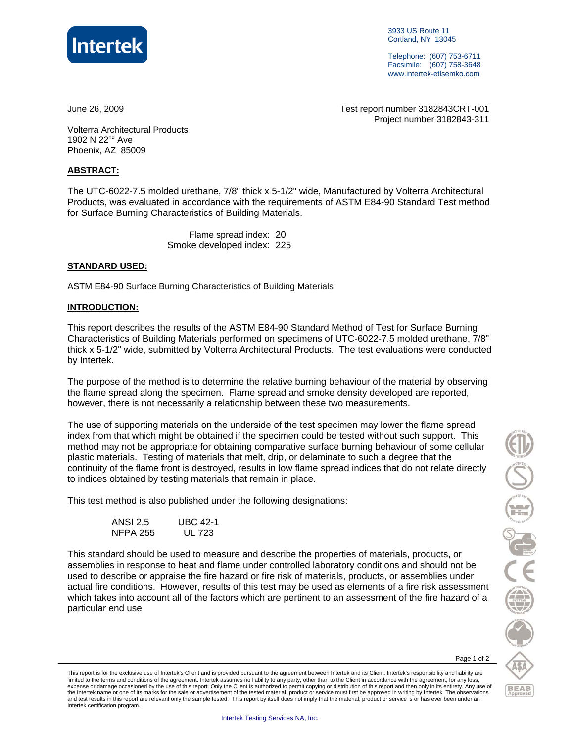

3933 US Route 11 Cortland, NY 13045

Telephone: (607) 753-6711 Facsimile: (607) 758-3648 www.intertek-etlsemko.com

June 26, 2009 Test report number 3182843CRT-001 Project number 3182843-311

Volterra Architectural Products 1902 N 22<sup>nd</sup> Ave Phoenix, AZ 85009

#### **ABSTRACT:**

The UTC-6022-7.5 molded urethane, 7/8" thick x 5-1/2" wide, Manufactured by Volterra Architectural Products, was evaluated in accordance with the requirements of ASTM E84-90 Standard Test method for Surface Burning Characteristics of Building Materials.

> Flame spread index: 20 Smoke developed index: 225

### **STANDARD USED:**

ASTM E84-90 Surface Burning Characteristics of Building Materials

#### **INTRODUCTION:**

This report describes the results of the ASTM E84-90 Standard Method of Test for Surface Burning Characteristics of Building Materials performed on specimens of UTC-6022-7.5 molded urethane, 7/8" thick x 5-1/2" wide, submitted by Volterra Architectural Products. The test evaluations were conducted by Intertek.

The purpose of the method is to determine the relative burning behaviour of the material by observing the flame spread along the specimen. Flame spread and smoke density developed are reported, however, there is not necessarily a relationship between these two measurements.

The use of supporting materials on the underside of the test specimen may lower the flame spread index from that which might be obtained if the specimen could be tested without such support. This method may not be appropriate for obtaining comparative surface burning behaviour of some cellular plastic materials. Testing of materials that melt, drip, or delaminate to such a degree that the continuity of the flame front is destroyed, results in low flame spread indices that do not relate directly to indices obtained by testing materials that remain in place.

This test method is also published under the following designations:

| <b>ANSI 2.5</b> | <b>UBC 42-1</b> |
|-----------------|-----------------|
| <b>NFPA 255</b> | UL 723          |

This standard should be used to measure and describe the properties of materials, products, or assemblies in response to heat and flame under controlled laboratory conditions and should not be used to describe or appraise the fire hazard or fire risk of materials, products, or assemblies under actual fire conditions. However, results of this test may be used as elements of a fire risk assessment which takes into account all of the factors which are pertinent to an assessment of the fire hazard of a particular end use

Page 1 of 2

OCOMPT

**BEAB** Approver

This report is for the exclusive use of Intertek's Client and is provided pursuant to the agreement between Intertek and its Client. Intertek's responsibility and liability are limited to the terms and conditions of the agreement. Intertek assumes no liability to any party, other than to the Client in accordance with the agreement, for any loss,<br>expense or damage occasioned by the use of this rep the Intertek name or one of its marks for the sale or advertisement of the tested material, product or service must first be approved in writing by Intertek. The observations and test results in this report are relevant only the sample tested. This report by itself does not imply that the material, product or service is or has ever been under an Intertek certification program.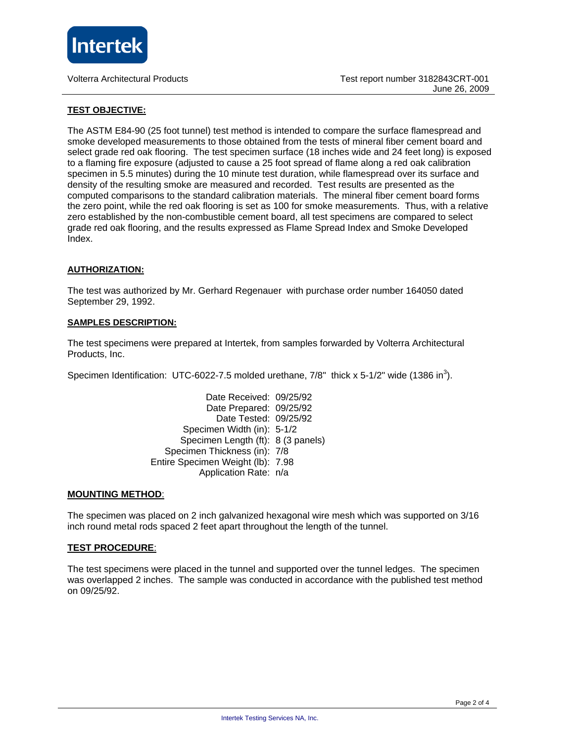

### **TEST OBJECTIVE:**

The ASTM E84-90 (25 foot tunnel) test method is intended to compare the surface flamespread and smoke developed measurements to those obtained from the tests of mineral fiber cement board and select grade red oak flooring. The test specimen surface (18 inches wide and 24 feet long) is exposed to a flaming fire exposure (adjusted to cause a 25 foot spread of flame along a red oak calibration specimen in 5.5 minutes) during the 10 minute test duration, while flamespread over its surface and density of the resulting smoke are measured and recorded. Test results are presented as the computed comparisons to the standard calibration materials. The mineral fiber cement board forms the zero point, while the red oak flooring is set as 100 for smoke measurements. Thus, with a relative zero established by the non-combustible cement board, all test specimens are compared to select grade red oak flooring, and the results expressed as Flame Spread Index and Smoke Developed Index.

#### **AUTHORIZATION:**

The test was authorized by Mr. Gerhard Regenauer with purchase order number 164050 dated September 29, 1992.

#### **SAMPLES DESCRIPTION:**

The test specimens were prepared at Intertek, from samples forwarded by Volterra Architectural Products, Inc.

Specimen Identification: UTC-6022-7.5 molded urethane,  $7/8$ " thick x 5-1/2" wide (1386 in<sup>3</sup>).

 Date Received: 09/25/92 Date Prepared: 09/25/92 Date Tested: 09/25/92 Specimen Width (in): 5-1/2 Specimen Length (ft): 8 (3 panels) Specimen Thickness (in): 7/8 Entire Specimen Weight (lb): 7.98 Application Rate: n/a

#### **MOUNTING METHOD**:

The specimen was placed on 2 inch galvanized hexagonal wire mesh which was supported on 3/16 inch round metal rods spaced 2 feet apart throughout the length of the tunnel.

#### **TEST PROCEDURE**:

The test specimens were placed in the tunnel and supported over the tunnel ledges. The specimen was overlapped 2 inches. The sample was conducted in accordance with the published test method on 09/25/92.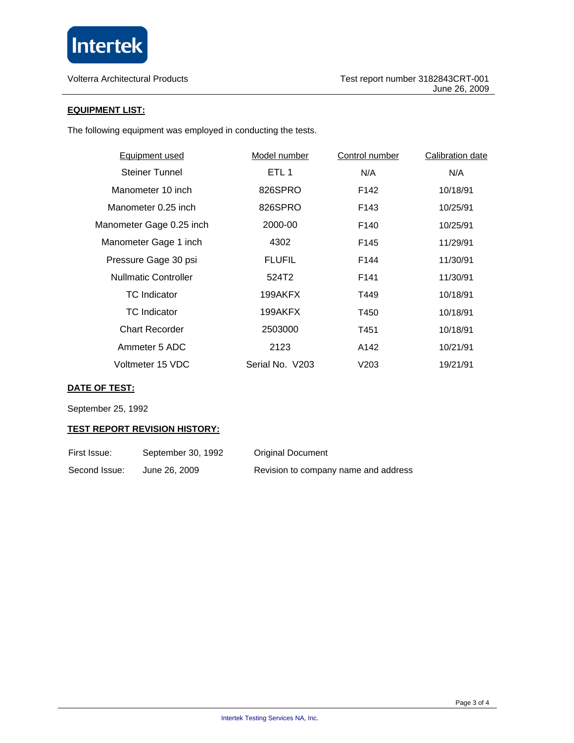

Volterra Architectural Products

## **EQUIPMENT LIST:**

The following equipment was employed in conducting the tests.

| <b>Equipment used</b>       | Model number     | <b>Control number</b> | <b>Calibration date</b> |
|-----------------------------|------------------|-----------------------|-------------------------|
| <b>Steiner Tunnel</b>       | ETL <sub>1</sub> | N/A                   | N/A                     |
| Manometer 10 inch           | 826SPRO          | F <sub>142</sub>      | 10/18/91                |
| Manometer 0.25 inch         | 826SPRO          | F143                  | 10/25/91                |
| Manometer Gage 0.25 inch    | 2000-00          | F <sub>140</sub>      | 10/25/91                |
| Manometer Gage 1 inch       | 4302             | F145                  | 11/29/91                |
| Pressure Gage 30 psi        | <b>FLUFIL</b>    | F144                  | 11/30/91                |
| <b>Nullmatic Controller</b> | 524T2            | F <sub>141</sub>      | 11/30/91                |
| <b>TC</b> Indicator         | 199AKFX          | T449                  | 10/18/91                |
| <b>TC</b> Indicator         | 199AKFX          | T450                  | 10/18/91                |
| <b>Chart Recorder</b>       | 2503000          | T451                  | 10/18/91                |
| Ammeter 5 ADC               | 2123             | A142                  | 10/21/91                |
| Voltmeter 15 VDC            | Serial No. V203  | V203                  | 19/21/91                |
|                             |                  |                       |                         |

# **DATE OF TEST:**

September 25, 1992

### **TEST REPORT REVISION HISTORY:**

| First Issue:  | September 30, 1992 | <b>Original Document</b>             |
|---------------|--------------------|--------------------------------------|
| Second Issue: | June 26, 2009      | Revision to company name and address |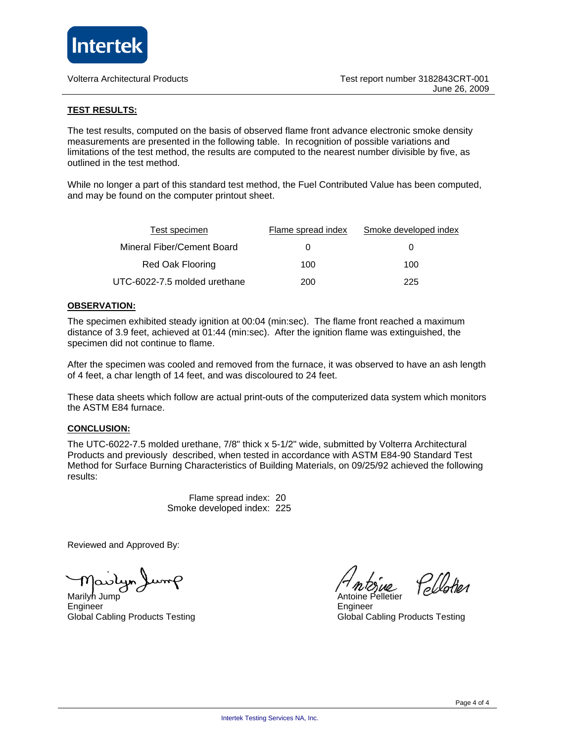

#### **TEST RESULTS:**

The test results, computed on the basis of observed flame front advance electronic smoke density measurements are presented in the following table. In recognition of possible variations and limitations of the test method, the results are computed to the nearest number divisible by five, as outlined in the test method.

While no longer a part of this standard test method, the Fuel Contributed Value has been computed, and may be found on the computer printout sheet.

| <b>Test specimen</b>         | Flame spread index | Smoke developed index |
|------------------------------|--------------------|-----------------------|
| Mineral Fiber/Cement Board   | $\mathbf{0}$       |                       |
| Red Oak Flooring             | 100                | 100                   |
| UTC-6022-7.5 molded urethane | 200                | 225                   |

#### **OBSERVATION:**

The specimen exhibited steady ignition at 00:04 (min:sec). The flame front reached a maximum distance of 3.9 feet, achieved at 01:44 (min:sec). After the ignition flame was extinguished, the specimen did not continue to flame.

After the specimen was cooled and removed from the furnace, it was observed to have an ash length of 4 feet, a char length of 14 feet, and was discoloured to 24 feet.

These data sheets which follow are actual print-outs of the computerized data system which monitors the ASTM E84 furnace.

#### **CONCLUSION:**

The UTC-6022-7.5 molded urethane, 7/8" thick x 5-1/2" wide, submitted by Volterra Architectural Products and previously described, when tested in accordance with ASTM E84-90 Standard Test Method for Surface Burning Characteristics of Building Materials, on 09/25/92 achieved the following results:

> Flame spread index: 20 Smoke developed index: 225

Reviewed and Approved By:

حیما

Marilyn Jump Engineer Engineer Global Cabling Products Testing Global Cabling Products Testing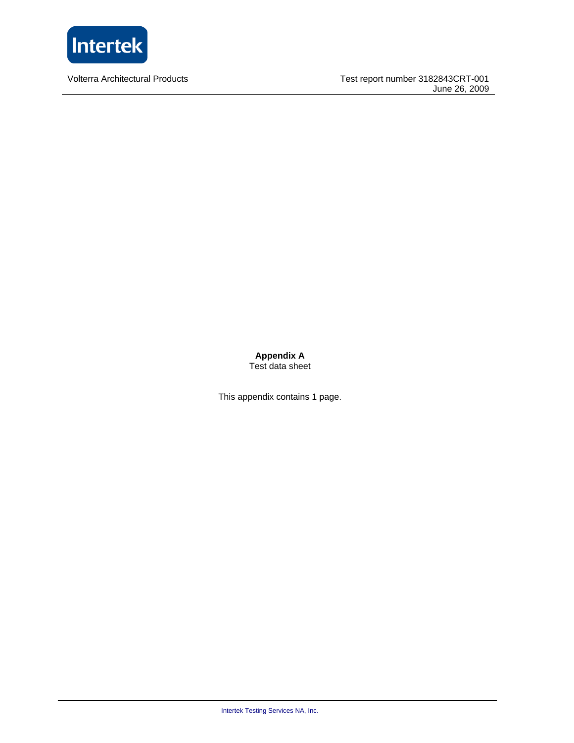

Volterra Architectural Products

Test report number 3182843CRT-001 June 26, 2009

**Appendix A**  Test data sheet

This appendix contains 1 page.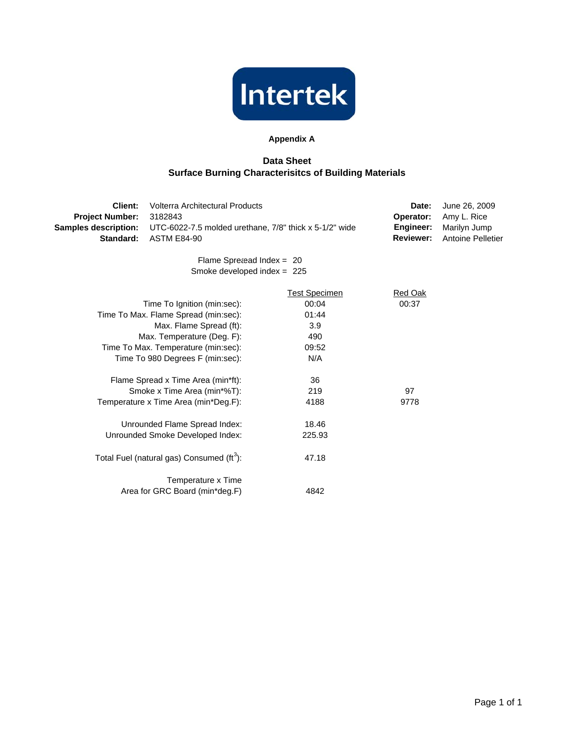

## **Appendix A**

## **Data Sheet Surface Burning Characterisitcs of Building Materials**

| Client:                     | Volterra Architectural Products                        |                      | Date:            | June 26, 2009            |
|-----------------------------|--------------------------------------------------------|----------------------|------------------|--------------------------|
| <b>Project Number:</b>      | 3182843                                                |                      | Operator:        | Amy L. Rice              |
| <b>Samples description:</b> | UTC-6022-7.5 molded urethane, 7/8" thick x 5-1/2" wide |                      | Engineer:        | Marilyn Jump             |
| Standard:                   | <b>ASTM E84-90</b>                                     |                      | <b>Reviewer:</b> | <b>Antoine Pelletier</b> |
|                             | Flame Spreaead Index = $20$                            |                      |                  |                          |
|                             | Smoke developed index = $225$                          |                      |                  |                          |
|                             |                                                        | <b>Test Specimen</b> | <b>Red Oak</b>   |                          |
|                             | Time To Ignition (min:sec):                            | 00:04                | 00:37            |                          |
|                             | Time To Max. Flame Spread (min:sec):                   | 01:44                |                  |                          |
|                             | Max. Flame Spread (ft):                                | 3.9                  |                  |                          |
|                             | Max. Temperature (Deg. F):                             | 490                  |                  |                          |
|                             | Time To Max. Temperature (min:sec):                    | 09:52                |                  |                          |
|                             | Time To 980 Degrees F (min:sec):                       | N/A                  |                  |                          |
|                             | Flame Spread x Time Area (min*ft):                     | 36                   |                  |                          |
|                             | Smoke x Time Area (min*%T):                            | 219                  | 97               |                          |
|                             | Temperature x Time Area (min*Deg.F):                   | 4188                 | 9778             |                          |
|                             | Unrounded Flame Spread Index:                          | 18.46                |                  |                          |
|                             | Unrounded Smoke Developed Index:                       | 225.93               |                  |                          |
|                             | Total Fuel (natural gas) Consumed (ft <sup>3</sup> ):  | 47.18                |                  |                          |
|                             | Temperature x Time                                     |                      |                  |                          |
|                             | Area for GRC Board (min*deg.F)                         | 4842                 |                  |                          |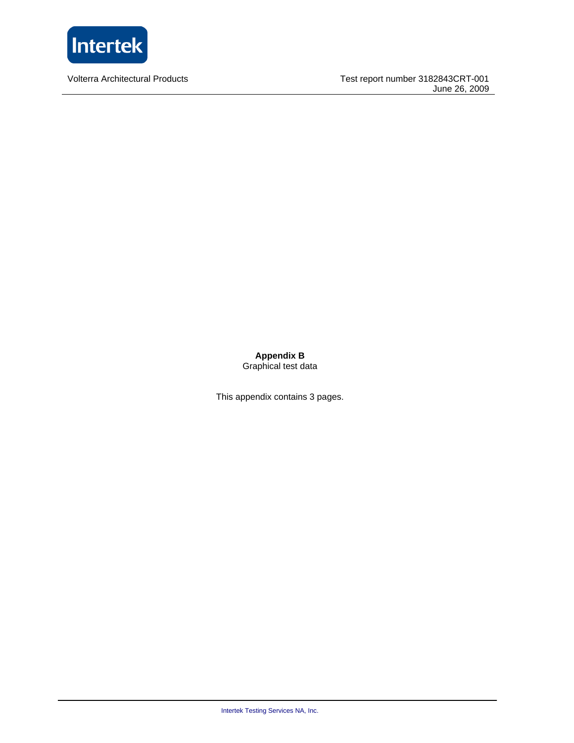

Volterra Architectural Products

Test report number 3182843CRT-001 June 26, 2009

**Appendix B**  Graphical test data

This appendix contains 3 pages.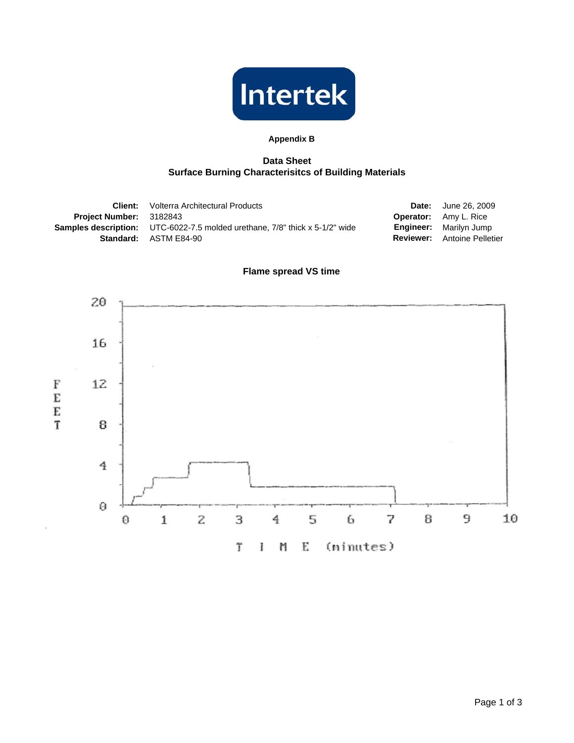

## **Appendix B**

## **Data Sheet Surface Burning Characterisitcs of Building Materials**

|                                | <b>Client:</b> Volterra Architectural Products                                     | <b>Date:</b> June 26, 2009         |
|--------------------------------|------------------------------------------------------------------------------------|------------------------------------|
| <b>Project Number: 3182843</b> |                                                                                    | <b>Operator:</b> Amy L. Rice       |
|                                | <b>Samples description:</b> UTC-6022-7.5 molded urethane, 7/8" thick x 5-1/2" wide | <b>Engineer:</b> Marilyn Jump      |
|                                | <b>Standard: ASTM E84-90</b>                                                       | <b>Reviewer:</b> Antoine Pelletier |

# **Flame spread VS time**

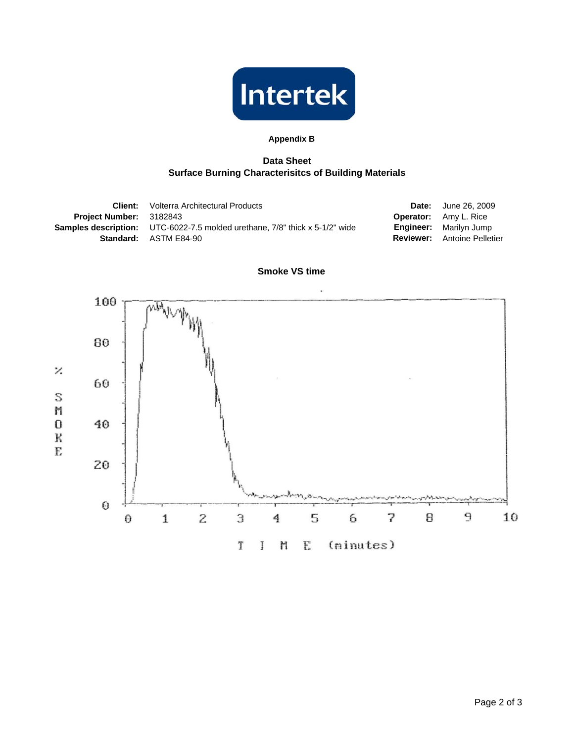

## **Appendix B**

## **Data Sheet Surface Burning Characterisitcs of Building Materials**

|                                | <b>Client:</b> Volterra Architectural Products                                     | <b>Date:</b> June 26, 2009         |
|--------------------------------|------------------------------------------------------------------------------------|------------------------------------|
| <b>Project Number: 3182843</b> |                                                                                    | <b>Operator:</b> Amy L. Rice       |
|                                | <b>Samples description:</b> UTC-6022-7.5 molded urethane, 7/8" thick x 5-1/2" wide | <b>Engineer:</b> Marilyn Jump      |
|                                | <b>Standard: ASTM E84-90</b>                                                       | <b>Reviewer:</b> Antoine Pelletier |